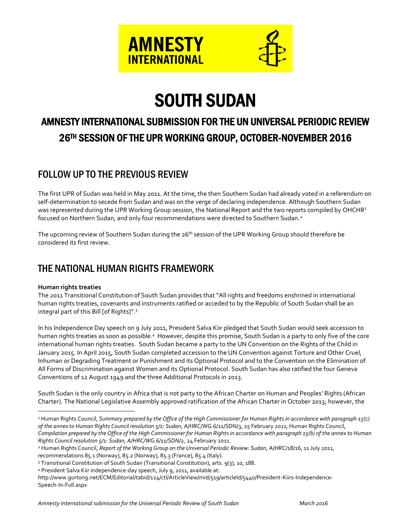

# SOUTH SUDAN

# AMNESTY INTERNATIONAL SUBMISSION FOR THE UN UNIVERSAL PERIODIC REVIEW 26TH SESSION OF THE UPR WORKING GROUP, OCTOBER-NOVEMBER 2016

# FOLLOW UP TO THE PREVIOUS REVIEW

The first UPR of Sudan was held in May 2011. At the time, the then Southern Sudan had already voted in a referendum on self-determination to secede from Sudan and was on the verge of declaring independence. Although Southern Sudan was represented during the UPR Working Group session, the National Report and the two reports compiled by OHCHR<sup>1</sup> focused on Northern Sudan, and only four recommendations were directed to Southern Sudan.<sup>2</sup>

The upcoming review of Southern Sudan during the 26<sup>th</sup> session of the UPR Working Group should therefore be considered its first review.

# THE NATIONAL HUMAN RIGHTS FRAMEWORK

#### **Human rights treaties**

 $\overline{a}$ 

The 2011 Transitional Constitution of South Sudan provides that "All rights and freedoms enshrined in international human rights treaties, covenants and instruments ratified or acceded to by the Republic of South Sudan shall be an integral part of this Bill [of Rights]".<sup>3</sup>

In his Independence Day speech on 9 July 2011, President Salva Kiir pledged that South Sudan would seek accession to human rights treaties as soon as possible.<sup>4</sup> However, despite this promise, South Sudan is a party to only five of the core international human rights treaties. South Sudan became a party to the UN Convention on the Rights of the Child in January 2015. In April 2015, South Sudan completed accession to the UN Convention against Torture and Other Cruel, Inhuman or Degrading Treatment or Punishment and its Optional Protocol and to the Convention on the Elimination of All Forms of Discrimination against Women and its Optional Protocol. South Sudan has also ratified the four Geneva Conventions of 12 August 1949 and the three Additional Protocols in 2013.

South Sudan is the only country in Africa that is not party to the African Charter on Human and Peoples' Rights (African Charter). The National Legislative Assembly approved ratification of the African Charter in October 2013; however, the

<sup>1</sup> Human Rights Council, *Summary prepared by the Office of the High Commissioner for Human Rights in accordance with paragraph 15(c) of the annex to Human Rights Council resolution 5/1: Sudan*, A/HRC/WG.6/11/SDN/3, 25 February 2011; Human Rights Council, *Compilation prepared by the Office of the High Commissioner for Human Rights in accordance with paragraph 15(b) of the annex to Human Rights Council resolution 5/1: Sudan, A/HRC/WG.6/11/SDN/2,* 24 February 2011.

recommendations 85.1 (Norway), 85.2 (Norway), 85.3 (France), 85.4 (Italy).

http://www.gurtong.net/ECM/Editorial/tabid/124/ctl/ArticleView/mid/519/articleId/5440/President-Kiirs-Independence-Speech-In-Full.aspx

<sup>2</sup> Human Rights Council, *Report of the Working Group on the Universal Periodic Review: Sudan*, A/HRC/18/16, 11 July 2011,

<sup>&</sup>lt;sup>3</sup> Transitional Constitution of South Sudan (Transitional Constitution), arts. 9(3), 10, 188.

<sup>4</sup> President Salva Kiir independence-day speech, July 9, 2011, available at: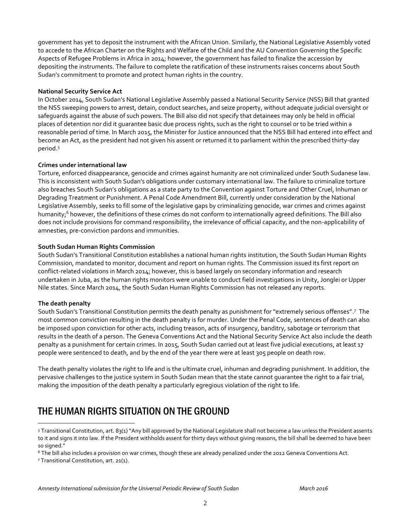government has yet to deposit the instrument with the African Union. Similarly, the National Legislative Assembly voted to accede to the African Charter on the Rights and Welfare of the Child and the AU Convention Governing the Specific Aspects of Refugee Problems in Africa in 2014; however, the government has failed to finalize the accession by depositing the instruments. The failure to complete the ratification of these instruments raises concerns about South Sudan's commitment to promote and protect human rights in the country.

#### **National Security Service Act**

In October 2014, South Sudan's National Legislative Assembly passed a National Security Service (NSS) Bill that granted the NSS sweeping powers to arrest, detain, conduct searches, and seize property, without adequate judicial oversight or safeguards against the abuse of such powers. The Bill also did not specify that detainees may only be held in official places of detention nor did it guarantee basic due process rights, such as the right to counsel or to be tried within a reasonable period of time. In March 2015, the Minister for Justice announced that the NSS Bill had entered into effect and become an Act, as the president had not given his assent or returned it to parliament within the prescribed thirty-day period. 5

#### **Crimes under international law**

Torture, enforced disappearance, genocide and crimes against humanity are not criminalized under South Sudanese law. This is inconsistent with South Sudan's obligations under customary international law. The failure to criminalize torture also breaches South Sudan's obligations as a state party to the Convention against Torture and Other Cruel, Inhuman or Degrading Treatment or Punishment. A Penal Code Amendment Bill, currently under consideration by the National Legislative Assembly, seeks to fill some of the legislative gaps by criminalizing genocide, war crimes and crimes against humanity; <sup>6</sup> however, the definitions of these crimes do not conform to internationally agreed definitions. The Bill also does not include provisions for command responsibility, the irrelevance of official capacity, and the non-applicability of amnesties, pre-conviction pardons and immunities.

#### **South Sudan Human Rights Commission**

South Sudan's Transitional Constitution establishes a national human rights institution, the South Sudan Human Rights Commission, mandated to monitor, document and report on human rights. The Commission issued its first report on conflict-related violations in March 2014; however, this is based largely on secondary information and research undertaken in Juba, as the human rights monitors were unable to conduct field investigations in Unity, Jonglei or Upper Nile states. Since March 2014, the South Sudan Human Rights Commission has not released any reports.

#### **The death penalty**

 $\overline{a}$ 

South Sudan's Transitional Constitution permits the death penalty as punishment for "extremely serious offenses". <sup>7</sup> The most common conviction resulting in the death penalty is for murder. Under the Penal Code, sentences of death can also be imposed upon conviction for other acts, including treason, acts of insurgency, banditry, sabotage or terrorism that results in the death of a person. The Geneva Conventions Act and the National Security Service Act also include the death penalty as a punishment for certain crimes. In 2015, South Sudan carried out at least five judicial executions, at least 17 people were sentenced to death, and by the end of the year there were at least 305 people on death row.

The death penalty violates the right to life and is the ultimate cruel, inhuman and degrading punishment. In addition, the pervasive challenges to the justice system in South Sudan mean that the state cannot guarantee the right to a fair trial, making the imposition of the death penalty a particularly egregious violation of the right to life.

# THE HUMAN RIGHTS SITUATION ON THE GROUND

<sup>6</sup> The bill also includes a provision on war crimes, though these are already penalized under the 2012 Geneva Conventions Act.

<sup>7</sup> Transitional Constitution, art. 21(1).

<sup>5</sup> Transitional Constitution, art. 83(1) "Any bill approved by the National Legislature shall not become a law unless the President assents to it and signs it into law. If the President withholds assent for thirty days without giving reasons, the bill shall be deemed to have been so signed."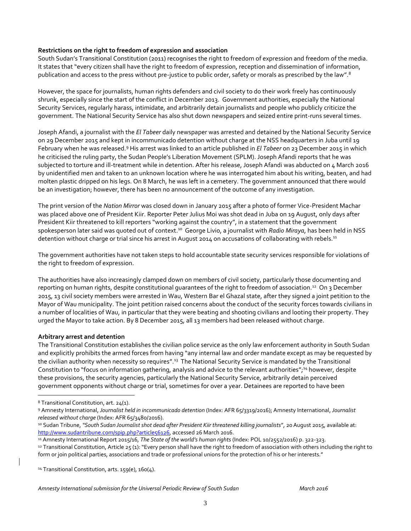#### **Restrictions on the right to freedom of expression and association**

South Sudan's Transitional Constitution (2011) recognises the right to freedom of expression and freedom of the media. It states that "every citizen shall have the right to freedom of expression, reception and dissemination of information, publication and access to the press without pre-justice to public order, safety or morals as prescribed by the law".<sup>8</sup>

However, the space for journalists, human rights defenders and civil society to do their work freely has continuously shrunk, especially since the start of the conflict in December 2013. Government authorities, especially the National Security Services, regularly harass, intimidate, and arbitrarily detain journalists and people who publicly criticize the government. The National Security Service has also shut down newspapers and seized entire print-runs several times.

Joseph Afandi, a journalist with the *El Tabeer* daily newspaper was arrested and detained by the National Security Service on 29 December 2015 and kept in incommunicado detention without charge at the NSS headquarters in Juba until 19 February when he was released.<sup>9</sup> His arrest was linked to an article published in *El Tabeer* on 23 December 2015 in which he criticised the ruling party, the Sudan People's Liberation Movement (SPLM). Joseph Afandi reports that he was subjected to torture and ill-treatment while in detention. After his release, Joseph Afandi was abducted on 4 March 2016 by unidentified men and taken to an unknown location where he was interrogated him about his writing, beaten, and had molten plastic dripped on his legs. On 8 March, he was left in a cemetery. The government announced that there would be an investigation; however, there has been no announcement of the outcome of any investigation.

The print version of the *Nation Mirror* was closed down in January 2015 after a photo of former Vice-President Machar was placed above one of President Kiir. Reporter Peter Julius Moi was shot dead in Juba on 19 August, only days after President Kiir threatened to kill reporters "working against the country", in a statement that the government spokesperson later said was quoted out of context.<sup>10</sup> George Livio, a journalist with *Radio Miraya*, has been held in NSS detention without charge or trial since his arrest in August 2014 on accusations of collaborating with rebels.<sup>11</sup>

The government authorities have not taken steps to hold accountable state security services responsible for violations of the right to freedom of expression.

The authorities have also increasingly clamped down on members of civil society, particularly those documenting and reporting on human rights, despite constitutional guarantees of the right to freedom of association.<sup>12</sup> On 3 December 2015, 13 civil society members were arrested in Wau, Western Bar el Ghazal state, after they signed a joint petition to the Mayor of Wau municipality. The joint petition raised concerns about the conduct of the security forces towards civilians in a number of localities of Wau, in particular that they were beating and shooting civilians and looting their property. They urged the Mayor to take action. By 8 December 2015, all 13 members had been released without charge.

#### **Arbitrary arrest and detention**

The Transitional Constitution establishes the civilian police service as the only law enforcement authority in South Sudan and explicitly prohibits the armed forces from having "any internal law and order mandate except as may be requested by the civilian authority when necessity so requires".<sup>13</sup> The National Security Service is mandated by the Transitional Constitution to "focus on information gathering, analysis and advice to the relevant authorities";<sup>14</sup> however, despite these provisions, the security agencies, particularly the National Security Service, arbitrarily detain perceived government opponents without charge or trial, sometimes for over a year. Detainees are reported to have been

 $\overline{a}$ 

<sup>14</sup> Transitional Constitution, arts. 159(e), 160(4).

<sup>8</sup> Transitional Constitution, art. 24(1).

<sup>9</sup> Amnesty International, *Journalist held in incommunicado detention* (Index: AFR 65/3319/2016); Amnesty International, *Journalist released without charge* (Index: AFR 65/3480/2016).

<sup>10</sup> Sudan Tribune, *"South Sudan Journalist shot dead after President Kiir threatened killing journalists*"*,* 20 August 2015, available at: [http://www.sudantribune.com/spip.php?article56126,](http://www.sudantribune.com/spip.php?article56126) accessed 26 March 2016.

<sup>11</sup> Amnesty International Report 2015/16, *The State of the world's human rights* (Index: POL 10/2552/2016) p. 322-323.

<sup>12</sup> Transitional Constitution, Article 25 (1): "Every person shall have the right to freedom of association with others including the right to form or join political parties, associations and trade or professional unions for the protection of his or her interests."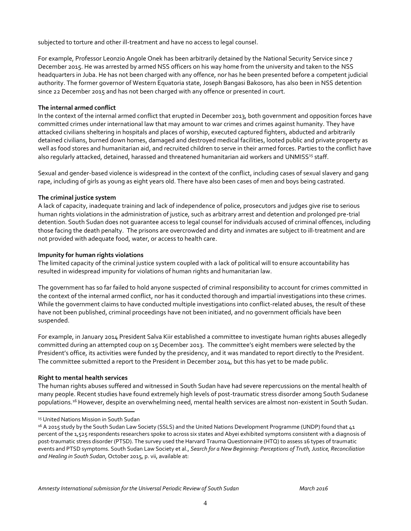subjected to torture and other ill-treatment and have no access to legal counsel.

For example, Professor Leonzio Angole Onek has been arbitrarily detained by the National Security Service since 7 December 2015. He was arrested by armed NSS officers on his way home from the university and taken to the NSS headquarters in Juba. He has not been charged with any offence, nor has he been presented before a competent judicial authority. The former governor of Western Equatoria state, Joseph Bangasi Bakosoro, has also been in NSS detention since 22 December 2015 and has not been charged with any offence or presented in court.

#### **The internal armed conflict**

In the context of the internal armed conflict that erupted in December 2013, both government and opposition forces have committed crimes under international law that may amount to war crimes and crimes against humanity. They have attacked civilians sheltering in hospitals and places of worship, executed captured fighters, abducted and arbitrarily detained civilians, burned down homes, damaged and destroyed medical facilities, looted public and private property as well as food stores and humanitarian aid, and recruited children to serve in their armed forces. Parties to the conflict have also regularly attacked, detained, harassed and threatened humanitarian aid workers and UNMISS<sup>15</sup> staff.

Sexual and gender-based violence is widespread in the context of the conflict, including cases of sexual slavery and gang rape, including of girls as young as eight years old. There have also been cases of men and boys being castrated.

#### **The criminal justice system**

A lack of capacity, inadequate training and lack of independence of police, prosecutors and judges give rise to serious human rights violations in the administration of justice, such as arbitrary arrest and detention and prolonged pre‐trial detention. South Sudan does not guarantee access to legal counsel for individuals accused of criminal offences, including those facing the death penalty. The prisons are overcrowded and dirty and inmates are subject to ill-treatment and are not provided with adequate food, water, or access to health care.

#### **Impunity for human rights violations**

The limited capacity of the criminal justice system coupled with a lack of political will to ensure accountability has resulted in widespread impunity for violations of human rights and humanitarian law.

The government has so far failed to hold anyone suspected of criminal responsibility to account for crimes committed in the context of the internal armed conflict, nor has it conducted thorough and impartial investigations into these crimes. While the government claims to have conducted multiple investigations into conflict-related abuses, the result of these have not been published, criminal proceedings have not been initiated, and no government officials have been suspended.

For example, in January 2014 President Salva Kiir established a committee to investigate human rights abuses allegedly committed during an attempted coup on 15 December 2013. The committee's eight members were selected by the President's office, its activities were funded by the presidency, and it was mandated to report directly to the President. The committee submitted a report to the President in December 2014, but this has yet to be made public.

#### **Right to mental health services**

 $\overline{a}$ 

The human rights abuses suffered and witnessed in South Sudan have had severe repercussions on the mental health of many people. Recent studies have found extremely high levels of post-traumatic stress disorder among South Sudanese populations.<sup>16</sup> However, despite an overwhelming need, mental health services are almost non-existent in South Sudan.

<sup>&</sup>lt;sup>15</sup> United Nations Mission in South Sudan

<sup>&</sup>lt;sup>16</sup> A 2015 study by the South Sudan Law Society (SSLS) and the United Nations Development Programme (UNDP) found that 41 percent of the 1,525 respondents researchers spoke to across six states and Abyei exhibited symptoms consistent with a diagnosis of post-traumatic stress disorder (PTSD). The survey used the Harvard Trauma Questionnaire (HTQ) to assess 16 types of traumatic events and PTSD symptoms. South Sudan Law Society et al., *Search for a New Beginning: Perceptions of Truth, Justice, Reconciliation and Healing in South Sudan*, October 2015, p. vii, available at: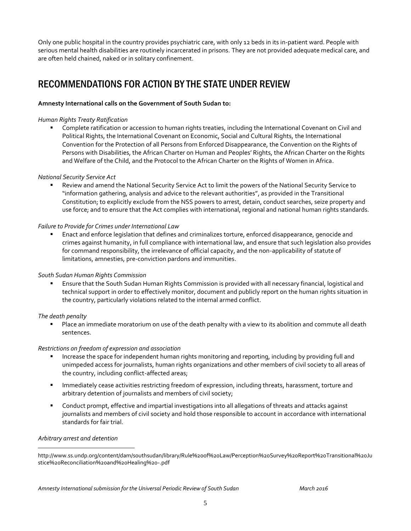Only one public hospital in the country provides psychiatric care, with only 12 beds in its in-patient ward. People with serious mental health disabilities are routinely incarcerated in prisons. They are not provided adequate medical care, and are often held chained, naked or in solitary confinement.

### RECOMMENDATIONS FOR ACTION BY THE STATE UNDER REVIEW

#### **Amnesty International calls on the Government of South Sudan to:**

#### *Human Rights Treaty Ratification*

 Complete ratification or accession to human rights treaties, including the International Covenant on Civil and Political Rights, the International Covenant on Economic, Social and Cultural Rights, the International Convention for the Protection of all Persons from Enforced Disappearance, the Convention on the Rights of Persons with Disabilities, the African Charter on Human and Peoples' Rights, the African Charter on the Rights and Welfare of the Child, and the Protocol to the African Charter on the Rights of Women in Africa.

#### *National Security Service Act*

 Review and amend the National Security Service Act to limit the powers of the National Security Service to "information gathering, analysis and advice to the relevant authorities", as provided in the Transitional Constitution; to explicitly exclude from the NSS powers to arrest, detain, conduct searches, seize property and use force; and to ensure that the Act complies with international, regional and national human rights standards.

#### *Failure to Provide for Crimes under International Law*

 Enact and enforce legislation that defines and criminalizes torture, enforced disappearance, genocide and crimes against humanity, in full compliance with international law, and ensure that such legislation also provides for command responsibility, the irrelevance of official capacity, and the non-applicability of statute of limitations, amnesties, pre-conviction pardons and immunities.

#### *South Sudan Human Rights Commission*

 Ensure that the South Sudan Human Rights Commission is provided with all necessary financial, logistical and technical support in order to effectively monitor, document and publicly report on the human rights situation in the country, particularly violations related to the internal armed conflict.

#### *The death penalty*

 Place an immediate moratorium on use of the death penalty with a view to its abolition and commute all death sentences.

#### *Restrictions on freedom of expression and association*

- Increase the space for independent human rights monitoring and reporting, including by providing full and unimpeded access for journalists, human rights organizations and other members of civil society to all areas of the country, including conflict-affected areas;
- **IMMED 19 Immediately cease activities restricting freedom of expression, including threats, harassment, torture and** arbitrary detention of journalists and members of civil society;
- Conduct prompt, effective and impartial investigations into all allegations of threats and attacks against journalists and members of civil society and hold those responsible to account in accordance with international standards for fair trial.

#### *Arbitrary arrest and detention*

 $\overline{a}$ 

http://www.ss.undp.org/content/dam/southsudan/library/Rule%20of%20Law/Perception%20Survey%20Report%20Transitional%20Ju stice%20Reconciliation%20and%20Healing%20-.pdf